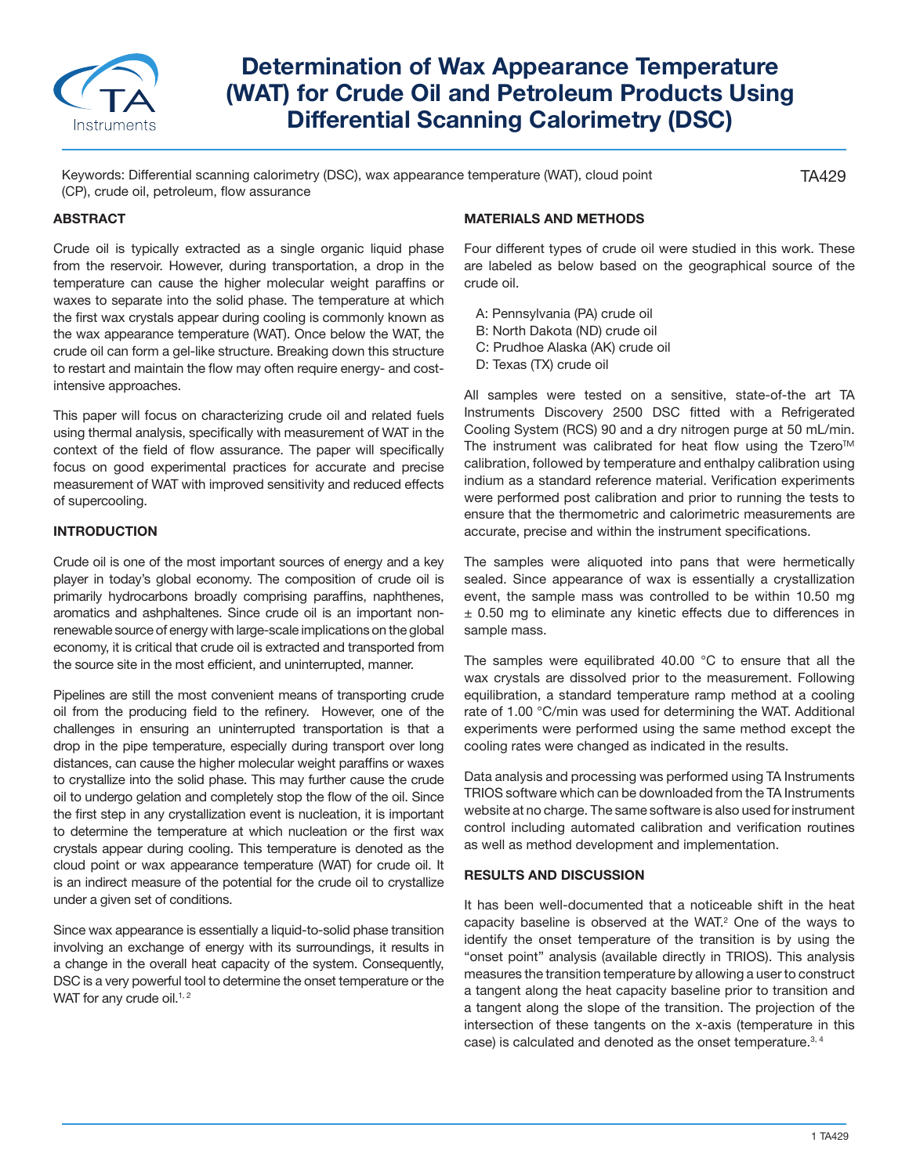

# **Determination of Wax Appearance Temperature (WAT) for Crude Oil and Petroleum Products Using Differential Scanning Calorimetry (DSC)**

Keywords: Differential scanning calorimetry (DSC), wax appearance temperature (WAT), cloud point (CP), crude oil, petroleum, flow assurance

#### **ABSTRACT**

Crude oil is typically extracted as a single organic liquid phase from the reservoir. However, during transportation, a drop in the temperature can cause the higher molecular weight paraffins or waxes to separate into the solid phase. The temperature at which the first wax crystals appear during cooling is commonly known as the wax appearance temperature (WAT). Once below the WAT, the crude oil can form a gel-like structure. Breaking down this structure to restart and maintain the flow may often require energy- and costintensive approaches.

This paper will focus on characterizing crude oil and related fuels using thermal analysis, specifically with measurement of WAT in the context of the field of flow assurance. The paper will specifically focus on good experimental practices for accurate and precise measurement of WAT with improved sensitivity and reduced effects of supercooling.

#### **INTRODUCTION**

Crude oil is one of the most important sources of energy and a key player in today's global economy. The composition of crude oil is primarily hydrocarbons broadly comprising paraffins, naphthenes, aromatics and ashphaltenes. Since crude oil is an important nonrenewable source of energy with large-scale implications on the global economy, it is critical that crude oil is extracted and transported from the source site in the most efficient, and uninterrupted, manner.

Pipelines are still the most convenient means of transporting crude oil from the producing field to the refinery. However, one of the challenges in ensuring an uninterrupted transportation is that a drop in the pipe temperature, especially during transport over long distances, can cause the higher molecular weight paraffins or waxes to crystallize into the solid phase. This may further cause the crude oil to undergo gelation and completely stop the flow of the oil. Since the first step in any crystallization event is nucleation, it is important to determine the temperature at which nucleation or the first wax crystals appear during cooling. This temperature is denoted as the cloud point or wax appearance temperature (WAT) for crude oil. It is an indirect measure of the potential for the crude oil to crystallize under a given set of conditions.

Since wax appearance is essentially a liquid-to-solid phase transition involving an exchange of energy with its surroundings, it results in a change in the overall heat capacity of the system. Consequently, DSC is a very powerful tool to determine the onset temperature or the WAT for any crude oil. $1, 2$ 

## **MATERIALS AND METHODS**

Four different types of crude oil were studied in this work. These are labeled as below based on the geographical source of the crude oil.

TA429

- A: Pennsylvania (PA) crude oil
- B: North Dakota (ND) crude oil
- C: Prudhoe Alaska (AK) crude oil
- D: Texas (TX) crude oil

All samples were tested on a sensitive, state-of-the art TA Instruments Discovery 2500 DSC fitted with a Refrigerated Cooling System (RCS) 90 and a dry nitrogen purge at 50 mL/min. The instrument was calibrated for heat flow using the Tzero<sup>™</sup> calibration, followed by temperature and enthalpy calibration using indium as a standard reference material. Verification experiments were performed post calibration and prior to running the tests to ensure that the thermometric and calorimetric measurements are accurate, precise and within the instrument specifications.

The samples were aliquoted into pans that were hermetically sealed. Since appearance of wax is essentially a crystallization event, the sample mass was controlled to be within 10.50 mg ± 0.50 mg to eliminate any kinetic effects due to differences in sample mass.

The samples were equilibrated 40.00  $^{\circ}$ C to ensure that all the wax crystals are dissolved prior to the measurement. Following equilibration, a standard temperature ramp method at a cooling rate of 1.00 °C/min was used for determining the WAT. Additional experiments were performed using the same method except the cooling rates were changed as indicated in the results.

Data analysis and processing was performed using TA Instruments TRIOS software which can be downloaded from the TA Instruments website at no charge. The same software is also used for instrument control including automated calibration and verification routines as well as method development and implementation.

#### **RESULTS AND DISCUSSION**

It has been well-documented that a noticeable shift in the heat capacity baseline is observed at the WAT.2 One of the ways to identify the onset temperature of the transition is by using the "onset point" analysis (available directly in TRIOS). This analysis measures the transition temperature by allowing a user to construct a tangent along the heat capacity baseline prior to transition and a tangent along the slope of the transition. The projection of the intersection of these tangents on the x-axis (temperature in this case) is calculated and denoted as the onset temperature.<sup>3, 4</sup>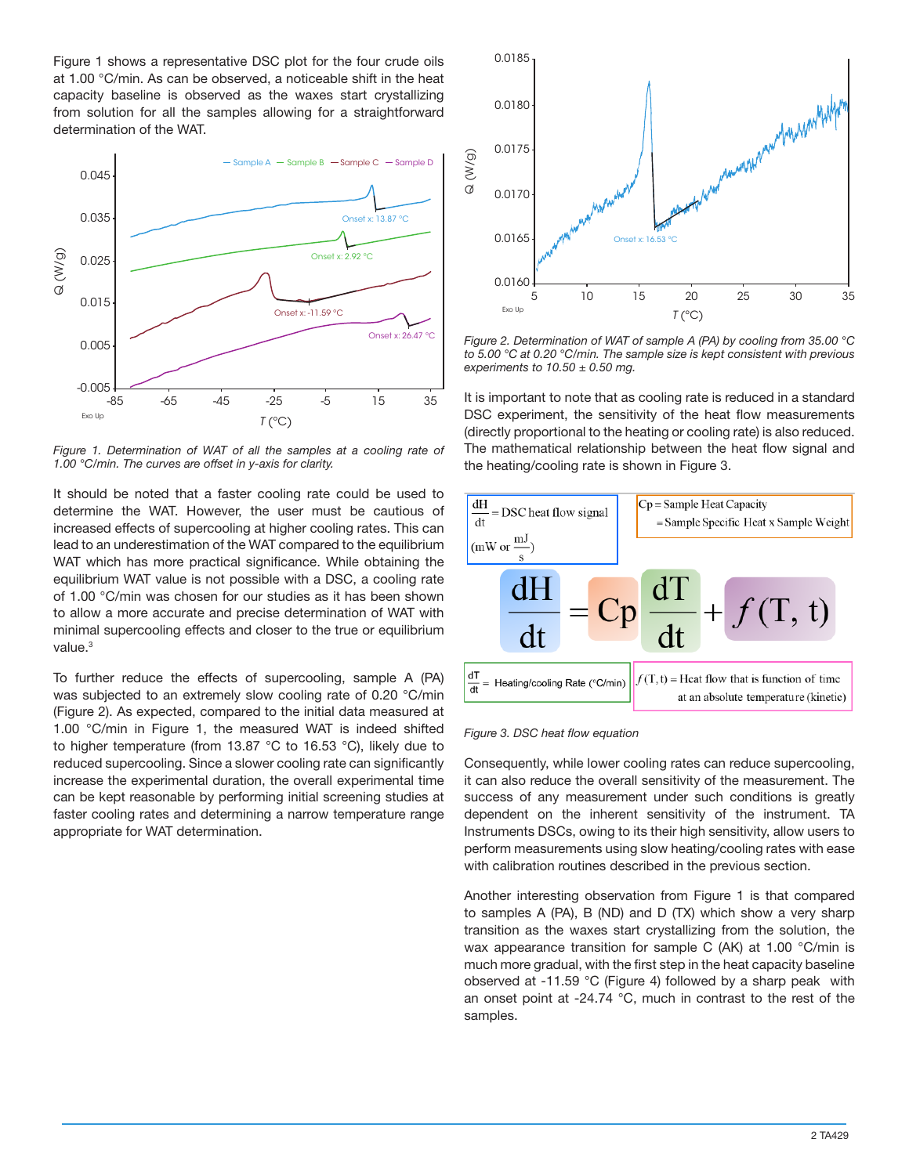Figure 1 shows a representative DSC plot for the four crude oils at 1.00 °C/min. As can be observed, a noticeable shift in the heat capacity baseline is observed as the waxes start crystallizing from solution for all the samples allowing for a straightforward determination of the WAT.



Figure 1. Determination of WAT of all the samples at a cooling rate of *1.00 °C/min. The curves are offset in y-axis for clarity.*

It should be noted that a faster cooling rate could be used to determine the WAT. However, the user must be cautious of increased effects of supercooling at higher cooling rates. This can lead to an underestimation of the WAT compared to the equilibrium WAT which has more practical significance. While obtaining the equilibrium WAT value is not possible with a DSC, a cooling rate of 1.00 °C/min was chosen for our studies as it has been shown to allow a more accurate and precise determination of WAT with minimal supercooling effects and closer to the true or equilibrium value.<sup>3</sup>

To further reduce the effects of supercooling, sample A (PA) was subjected to an extremely slow cooling rate of 0.20 °C/min (Figure 2). As expected, compared to the initial data measured at 1.00 °C/min in Figure 1, the measured WAT is indeed shifted to higher temperature (from 13.87 °C to 16.53 °C), likely due to reduced supercooling. Since a slower cooling rate can significantly increase the experimental duration, the overall experimental time can be kept reasonable by performing initial screening studies at faster cooling rates and determining a narrow temperature range appropriate for WAT determination.



*Figure 2. Determination of WAT of sample A (PA) by cooling from 35.00 °C to 5.00 °C at 0.20 °C/min. The sample size is kept consistent with previous experiments to 10.50 ± 0.50 mg.*

It is important to note that as cooling rate is reduced in a standard DSC experiment, the sensitivity of the heat flow measurements (directly proportional to the heating or cooling rate) is also reduced. The mathematical relationship between the heat flow signal and the heating/cooling rate is shown in Figure 3.



#### *Figure 3. DSC heat flow equation*

Consequently, while lower cooling rates can reduce supercooling, it can also reduce the overall sensitivity of the measurement. The success of any measurement under such conditions is greatly dependent on the inherent sensitivity of the instrument. TA Instruments DSCs, owing to its their high sensitivity, allow users to perform measurements using slow heating/cooling rates with ease with calibration routines described in the previous section.

Another interesting observation from Figure 1 is that compared to samples A (PA), B (ND) and D (TX) which show a very sharp transition as the waxes start crystallizing from the solution, the wax appearance transition for sample C (AK) at 1.00 °C/min is much more gradual, with the first step in the heat capacity baseline observed at -11.59 °C (Figure 4) followed by a sharp peak with an onset point at -24.74 °C, much in contrast to the rest of the samples.